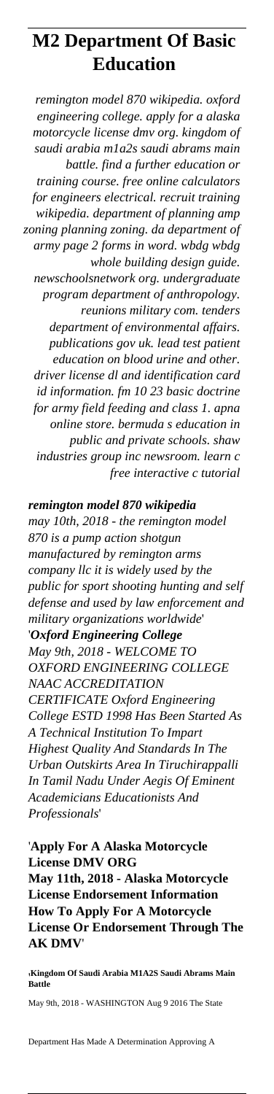# **M2 Department Of Basic Education**

*remington model 870 wikipedia. oxford engineering college. apply for a alaska motorcycle license dmv org. kingdom of saudi arabia m1a2s saudi abrams main battle. find a further education or training course. free online calculators for engineers electrical. recruit training wikipedia. department of planning amp zoning planning zoning. da department of army page 2 forms in word. wbdg wbdg whole building design guide. newschoolsnetwork org. undergraduate program department of anthropology. reunions military com. tenders department of environmental affairs. publications gov uk. lead test patient education on blood urine and other. driver license dl and identification card id information. fm 10 23 basic doctrine for army field feeding and class 1. apna online store. bermuda s education in public and private schools. shaw industries group inc newsroom. learn c free interactive c tutorial*

*remington model 870 wikipedia may 10th, 2018 - the remington model 870 is a pump action shotgun manufactured by remington arms company llc it is widely used by the public for sport shooting hunting and self defense and used by law enforcement and military organizations worldwide*' '*Oxford Engineering College May 9th, 2018 - WELCOME TO OXFORD ENGINEERING COLLEGE NAAC ACCREDITATION CERTIFICATE Oxford Engineering College ESTD 1998 Has Been Started As A Technical Institution To Impart Highest Quality And Standards In The Urban Outskirts Area In Tiruchirappalli In Tamil Nadu Under Aegis Of Eminent Academicians Educationists And Professionals*'

'**Apply For A Alaska Motorcycle License DMV ORG May 11th, 2018 - Alaska Motorcycle License Endorsement Information How To Apply For A Motorcycle License Or Endorsement Through The AK DMV**'

'**Kingdom Of Saudi Arabia M1A2S Saudi Abrams Main Battle**

May 9th, 2018 - WASHINGTON Aug 9 2016 The State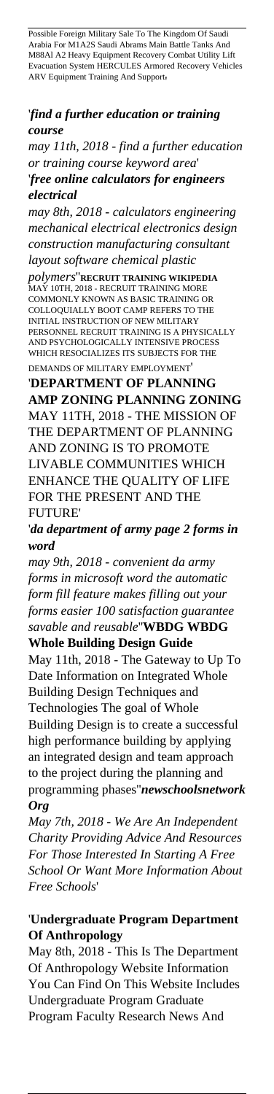Possible Foreign Military Sale To The Kingdom Of Saudi Arabia For M1A2S Saudi Abrams Main Battle Tanks And M88Al A2 Heavy Equipment Recovery Combat Utility Lift Evacuation System HERCULES Armored Recovery Vehicles ARV Equipment Training And Support'

#### '*find a further education or training course*

*may 11th, 2018 - find a further education or training course keyword area*' '*free online calculators for engineers electrical*

*may 8th, 2018 - calculators engineering mechanical electrical electronics design construction manufacturing consultant layout software chemical plastic*

*polymers*''**RECRUIT TRAINING WIKIPEDIA** MAY 10TH, 2018 - RECRUIT TRAINING MORE COMMONLY KNOWN AS BASIC TRAINING OR COLLOQUIALLY BOOT CAMP REFERS TO THE INITIAL INSTRUCTION OF NEW MILITARY PERSONNEL RECRUIT TRAINING IS A PHYSICALLY AND PSYCHOLOGICALLY INTENSIVE PROCESS WHICH RESOCIALIZES ITS SUBJECTS FOR THE DEMANDS OF MILITARY EMPLOYMENT'

'**DEPARTMENT OF PLANNING AMP ZONING PLANNING ZONING** MAY 11TH, 2018 - THE MISSION OF THE DEPARTMENT OF PLANNING AND ZONING IS TO PROMOTE LIVABLE COMMUNITIES WHICH ENHANCE THE QUALITY OF LIFE FOR THE PRESENT AND THE FUTURE'

'*da department of army page 2 forms in word*

*may 9th, 2018 - convenient da army forms in microsoft word the automatic form fill feature makes filling out your forms easier 100 satisfaction guarantee savable and reusable*''**WBDG WBDG**

**Whole Building Design Guide**

May 11th, 2018 - The Gateway to Up To Date Information on Integrated Whole Building Design Techniques and Technologies The goal of Whole Building Design is to create a successful high performance building by applying an integrated design and team approach to the project during the planning and programming phases''*newschoolsnetwork Org*

*May 7th, 2018 - We Are An Independent Charity Providing Advice And Resources For Those Interested In Starting A Free School Or Want More Information About Free Schools*'

### '**Undergraduate Program Department Of Anthropology**

May 8th, 2018 - This Is The Department Of Anthropology Website Information You Can Find On This Website Includes Undergraduate Program Graduate Program Faculty Research News And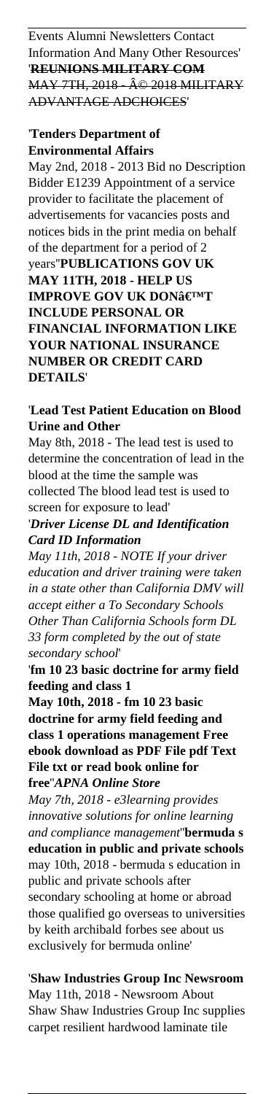Events Alumni Newsletters Contact Information And Many Other Resources' '**REUNIONS MILITARY COM MAY 7TH, 2018 - © 2018 MILITARY** ADVANTAGE ADCHOICES'

# '**Tenders Department of Environmental Affairs**

May 2nd, 2018 - 2013 Bid no Description Bidder E1239 Appointment of a service provider to facilitate the placement of advertisements for vacancies posts and notices bids in the print media on behalf of the department for a period of 2 years''**PUBLICATIONS GOV UK MAY 11TH, 2018 - HELP US IMPROVE GOV UK DON'T INCLUDE PERSONAL OR FINANCIAL INFORMATION LIKE YOUR NATIONAL INSURANCE NUMBER OR CREDIT CARD DETAILS**'

## '**Lead Test Patient Education on Blood Urine and Other**

May 8th, 2018 - The lead test is used to determine the concentration of lead in the blood at the time the sample was collected The blood lead test is used to screen for exposure to lead'

## '*Driver License DL and Identification Card ID Information*

*May 11th, 2018 - NOTE If your driver education and driver training were taken in a state other than California DMV will accept either a To Secondary Schools Other Than California Schools form DL 33 form completed by the out of state secondary school*'

'**fm 10 23 basic doctrine for army field feeding and class 1**

**May 10th, 2018 - fm 10 23 basic doctrine for army field feeding and class 1 operations management Free ebook download as PDF File pdf Text File txt or read book online for free**''*APNA Online Store*

*May 7th, 2018 - e3learning provides innovative solutions for online learning and compliance management*''**bermuda s education in public and private schools** may 10th, 2018 - bermuda s education in public and private schools after secondary schooling at home or abroad those qualified go overseas to universities by keith archibald forbes see about us exclusively for bermuda online'

'**Shaw Industries Group Inc Newsroom** May 11th, 2018 - Newsroom About Shaw Shaw Industries Group Inc supplies carpet resilient hardwood laminate tile